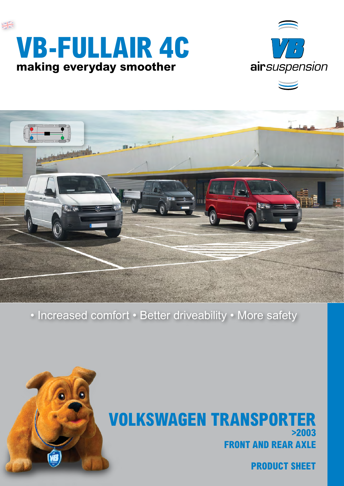# **SK VB-FullAir 4C making everyday smoother**





• Increased comfort • Better driveability • More safety



**front and rear axle VOLKSWAGEN TRANSPORT >2003**

**product sheet**